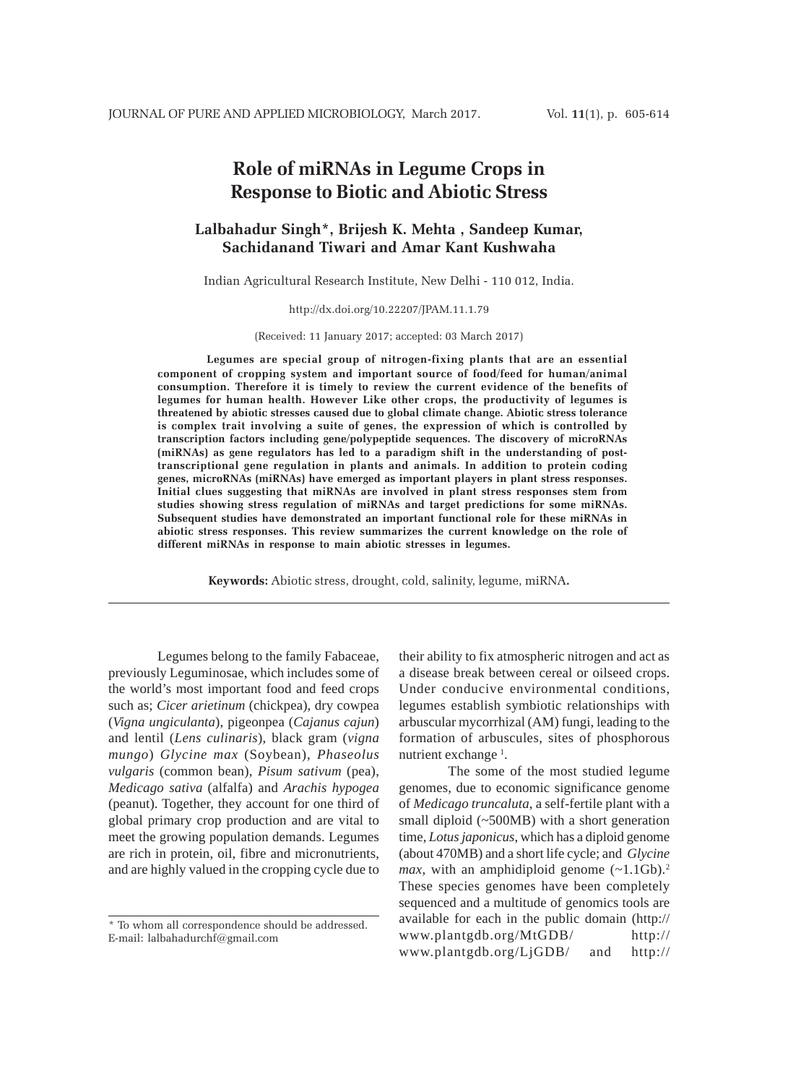# **Role of miRNAs in Legume Crops in Response to Biotic and Abiotic Stress**

## **Lalbahadur Singh\*, Brijesh K. Mehta , Sandeep Kumar, Sachidanand Tiwari and Amar Kant Kushwaha**

Indian Agricultural Research Institute, New Delhi - 110 012, India.

#### http://dx.doi.org/10.22207/JPAM.11.1.79

(Received: 11 January 2017; accepted: 03 March 2017)

**Legumes are special group of nitrogen-fixing plants that are an essential component of cropping system and important source of food/feed for human/animal consumption. Therefore it is timely to review the current evidence of the benefits of legumes for human health. However Like other crops, the productivity of legumes is threatened by abiotic stresses caused due to global climate change. Abiotic stress tolerance is complex trait involving a suite of genes, the expression of which is controlled by transcription factors including gene/polypeptide sequences. The discovery of microRNAs (miRNAs) as gene regulators has led to a paradigm shift in the understanding of posttranscriptional gene regulation in plants and animals. In addition to protein coding genes, microRNAs (miRNAs) have emerged as important players in plant stress responses. Initial clues suggesting that miRNAs are involved in plant stress responses stem from studies showing stress regulation of miRNAs and target predictions for some miRNAs. Subsequent studies have demonstrated an important functional role for these miRNAs in abiotic stress responses. This review summarizes the current knowledge on the role of different miRNAs in response to main abiotic stresses in legumes.**

**Keywords:** Abiotic stress, drought, cold, salinity, legume, miRNA**.**

Legumes belong to the family Fabaceae, previously Leguminosae, which includes some of the world's most important food and feed crops such as; *Cicer arietinum* (chickpea), dry cowpea (*Vigna ungiculanta*), pigeonpea (*Cajanus cajun*) and lentil (*Lens culinaris*), black gram (*vigna mungo*) *Glycine max* (Soybean), *Phaseolus vulgaris* (common bean), *Pisum sativum* (pea), *Medicago sativa* (alfalfa) and *Arachis hypogea* (peanut). Together, they account for one third of global primary crop production and are vital to meet the growing population demands. Legumes are rich in protein, oil, fibre and micronutrients, and are highly valued in the cropping cycle due to

their ability to fix atmospheric nitrogen and act as a disease break between cereal or oilseed crops. Under conducive environmental conditions, legumes establish symbiotic relationships with arbuscular mycorrhizal (AM) fungi, leading to the formation of arbuscules, sites of phosphorous nutrient exchange<sup>1</sup>.

The some of the most studied legume genomes, due to economic significance genome of *Medicago truncaluta*, a self-fertile plant with a small diploid (~500MB) with a short generation time, *Lotus japonicus*, which has a diploid genome (about 470MB) and a short life cycle; and *Glycine max*, with an amphidiploid genome  $(\sim 1.1 \text{Gb})$ .<sup>2</sup> These species genomes have been completely sequenced and a multitude of genomics tools are available for each in the public domain (http:// www.plantgdb.org/MtGDB/ http:// www.plantgdb.org/LjGDB/ and http://

<sup>\*</sup> To whom all correspondence should be addressed. E-mail: lalbahadurchf@gmail.com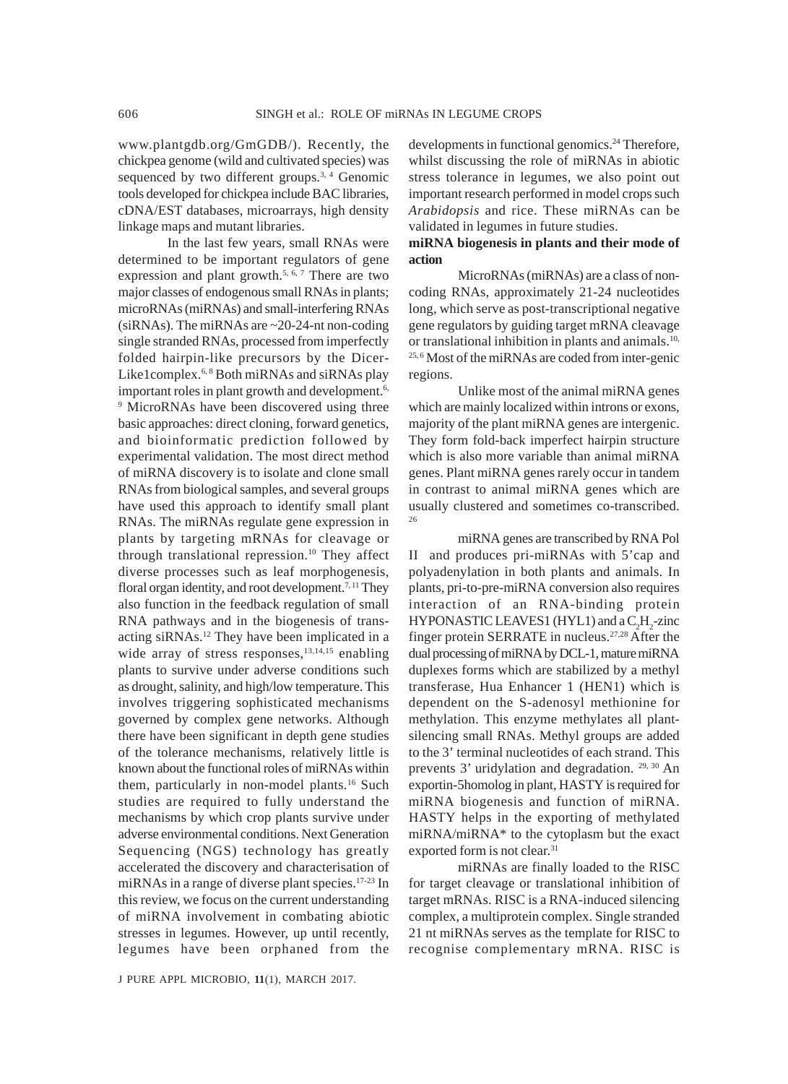www.plantgdb.org/GmGDB/). Recently, the chickpea genome (wild and cultivated species) was sequenced by two different groups.<sup>3, 4</sup> Genomic tools developed for chickpea include BAC libraries, cDNA/EST databases, microarrays, high density linkage maps and mutant libraries.

In the last few years, small RNAs were determined to be important regulators of gene expression and plant growth.<sup>5, 6, 7</sup> There are two major classes of endogenous small RNAs in plants; microRNAs (miRNAs) and small-interfering RNAs (siRNAs). The miRNAs are ~20-24-nt non-coding single stranded RNAs, processed from imperfectly folded hairpin-like precursors by the Dicer-Like1complex.<sup>6,8</sup> Both miRNAs and siRNAs play important roles in plant growth and development.<sup>6,</sup> <sup>9</sup> MicroRNAs have been discovered using three basic approaches: direct cloning, forward genetics, and bioinformatic prediction followed by experimental validation. The most direct method of miRNA discovery is to isolate and clone small RNAs from biological samples, and several groups have used this approach to identify small plant RNAs. The miRNAs regulate gene expression in plants by targeting mRNAs for cleavage or through translational repression.<sup>10</sup> They affect diverse processes such as leaf morphogenesis, floral organ identity, and root development.<sup>7, 11</sup> They also function in the feedback regulation of small RNA pathways and in the biogenesis of transacting siRNAs.12 They have been implicated in a wide array of stress responses,<sup>13,14,15</sup> enabling plants to survive under adverse conditions such as drought, salinity, and high/low temperature. This involves triggering sophisticated mechanisms governed by complex gene networks. Although there have been significant in depth gene studies of the tolerance mechanisms, relatively little is known about the functional roles of miRNAs within them, particularly in non-model plants.16 Such studies are required to fully understand the mechanisms by which crop plants survive under adverse environmental conditions. Next Generation Sequencing (NGS) technology has greatly accelerated the discovery and characterisation of miRNAs in a range of diverse plant species.<sup>17-23</sup> In this review, we focus on the current understanding of miRNA involvement in combating abiotic stresses in legumes. However, up until recently, legumes have been orphaned from the

developments in functional genomics.24 Therefore, whilst discussing the role of miRNAs in abiotic stress tolerance in legumes, we also point out important research performed in model crops such *Arabidopsis* and rice. These miRNAs can be validated in legumes in future studies.

### **miRNA biogenesis in plants and their mode of action**

MicroRNAs (miRNAs) are a class of noncoding RNAs, approximately 21-24 nucleotides long, which serve as post-transcriptional negative gene regulators by guiding target mRNA cleavage or translational inhibition in plants and animals.<sup>10,</sup> 25, 6 Most of the miRNAs are coded from inter-genic regions.

Unlike most of the animal miRNA genes which are mainly localized within introns or exons, majority of the plant miRNA genes are intergenic. They form fold-back imperfect hairpin structure which is also more variable than animal miRNA genes. Plant miRNA genes rarely occur in tandem in contrast to animal miRNA genes which are usually clustered and sometimes co-transcribed. 26

miRNA genes are transcribed by RNA Pol II and produces pri-miRNAs with 5'cap and polyadenylation in both plants and animals. In plants, pri-to-pre-miRNA conversion also requires interaction of an RNA-binding protein HYPONASTIC LEAVES 1 (HYL1) and a  $C_2H_2$ -zinc finger protein SERRATE in nucleus.27,28 After the dual processing of miRNA by DCL-1, mature miRNA duplexes forms which are stabilized by a methyl transferase, Hua Enhancer 1 (HEN1) which is dependent on the S-adenosyl methionine for methylation. This enzyme methylates all plantsilencing small RNAs. Methyl groups are added to the 3' terminal nucleotides of each strand. This prevents 3' uridylation and degradation. <sup>29, 30</sup> An exportin-5homolog in plant, HASTY is required for miRNA biogenesis and function of miRNA. HASTY helps in the exporting of methylated miRNA/miRNA\* to the cytoplasm but the exact exported form is not clear.<sup>31</sup>

miRNAs are finally loaded to the RISC for target cleavage or translational inhibition of target mRNAs. RISC is a RNA-induced silencing complex, a multiprotein complex. Single stranded 21 nt miRNAs serves as the template for RISC to recognise complementary mRNA. RISC is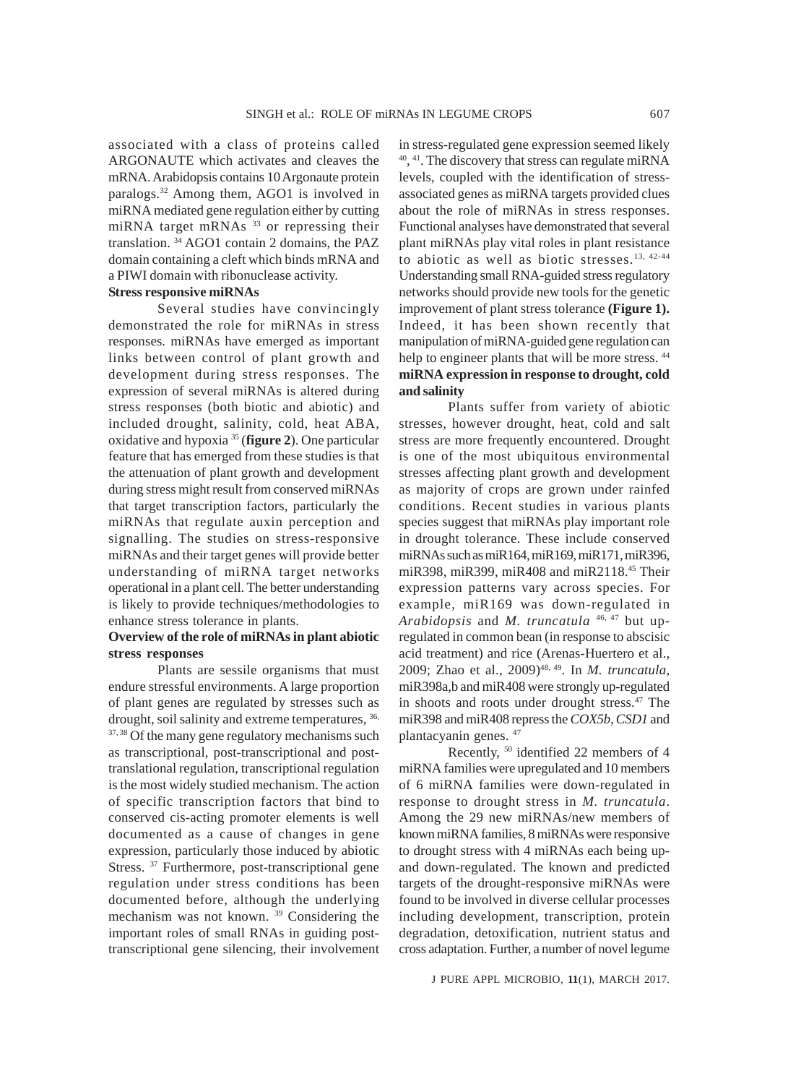associated with a class of proteins called ARGONAUTE which activates and cleaves the mRNA. Arabidopsis contains 10 Argonaute protein paralogs.32 Among them, AGO1 is involved in miRNA mediated gene regulation either by cutting miRNA target mRNAs<sup>33</sup> or repressing their translation. 34 AGO1 contain 2 domains, the PAZ domain containing a cleft which binds mRNA and a PIWI domain with ribonuclease activity.

## **Stress responsive miRNAs**

Several studies have convincingly demonstrated the role for miRNAs in stress responses. miRNAs have emerged as important links between control of plant growth and development during stress responses. The expression of several miRNAs is altered during stress responses (both biotic and abiotic) and included drought, salinity, cold, heat ABA, oxidative and hypoxia 35 (**figure 2**). One particular feature that has emerged from these studies is that the attenuation of plant growth and development during stress might result from conserved miRNAs that target transcription factors, particularly the miRNAs that regulate auxin perception and signalling. The studies on stress-responsive miRNAs and their target genes will provide better understanding of miRNA target networks operational in a plant cell. The better understanding is likely to provide techniques/methodologies to enhance stress tolerance in plants.

### **Overview of the role of miRNAs in plant abiotic stress responses**

Plants are sessile organisms that must endure stressful environments. A large proportion of plant genes are regulated by stresses such as drought, soil salinity and extreme temperatures,  $36$ , <sup>37, 38</sup> Of the many gene regulatory mechanisms such as transcriptional, post-transcriptional and posttranslational regulation, transcriptional regulation is the most widely studied mechanism. The action of specific transcription factors that bind to conserved cis-acting promoter elements is well documented as a cause of changes in gene expression, particularly those induced by abiotic Stress.<sup>37</sup> Furthermore, post-transcriptional gene regulation under stress conditions has been documented before, although the underlying mechanism was not known. 39 Considering the important roles of small RNAs in guiding posttranscriptional gene silencing, their involvement

in stress-regulated gene expression seemed likely 40, 41. The discovery that stress can regulate miRNA levels, coupled with the identification of stressassociated genes as miRNA targets provided clues about the role of miRNAs in stress responses. Functional analyses have demonstrated that several plant miRNAs play vital roles in plant resistance to abiotic as well as biotic stresses.13, 42-44 Understanding small RNA-guided stress regulatory networks should provide new tools for the genetic improvement of plant stress tolerance **(Figure 1).** Indeed, it has been shown recently that manipulation of miRNA-guided gene regulation can help to engineer plants that will be more stress.  $44$ **miRNA expression in response to drought, cold and salinity**

Plants suffer from variety of abiotic stresses, however drought, heat, cold and salt stress are more frequently encountered. Drought is one of the most ubiquitous environmental stresses affecting plant growth and development as majority of crops are grown under rainfed conditions. Recent studies in various plants species suggest that miRNAs play important role in drought tolerance. These include conserved miRNAs such as miR164, miR169, miR171, miR396, miR398, miR399, miR408 and miR2118.45 Their expression patterns vary across species. For example, miR169 was down-regulated in *Arabidopsis* and *M. truncatula* 46, 47 but upregulated in common bean (in response to abscisic acid treatment) and rice (Arenas-Huertero et al., 2009; Zhao et al., 2009)<sup>48, 49</sup>. In *M. truncatula*, miR398a,b and miR408 were strongly up-regulated in shoots and roots under drought stress.<sup>47</sup> The miR398 and miR408 repress the *COX5b*, *CSD1* and plantacyanin genes. 47

Recently, 50 identified 22 members of 4 miRNA families were upregulated and 10 members of 6 miRNA families were down-regulated in response to drought stress in *M. truncatula*. Among the 29 new miRNAs/new members of known miRNA families, 8 miRNAs were responsive to drought stress with 4 miRNAs each being upand down-regulated. The known and predicted targets of the drought-responsive miRNAs were found to be involved in diverse cellular processes including development, transcription, protein degradation, detoxification, nutrient status and cross adaptation. Further, a number of novel legume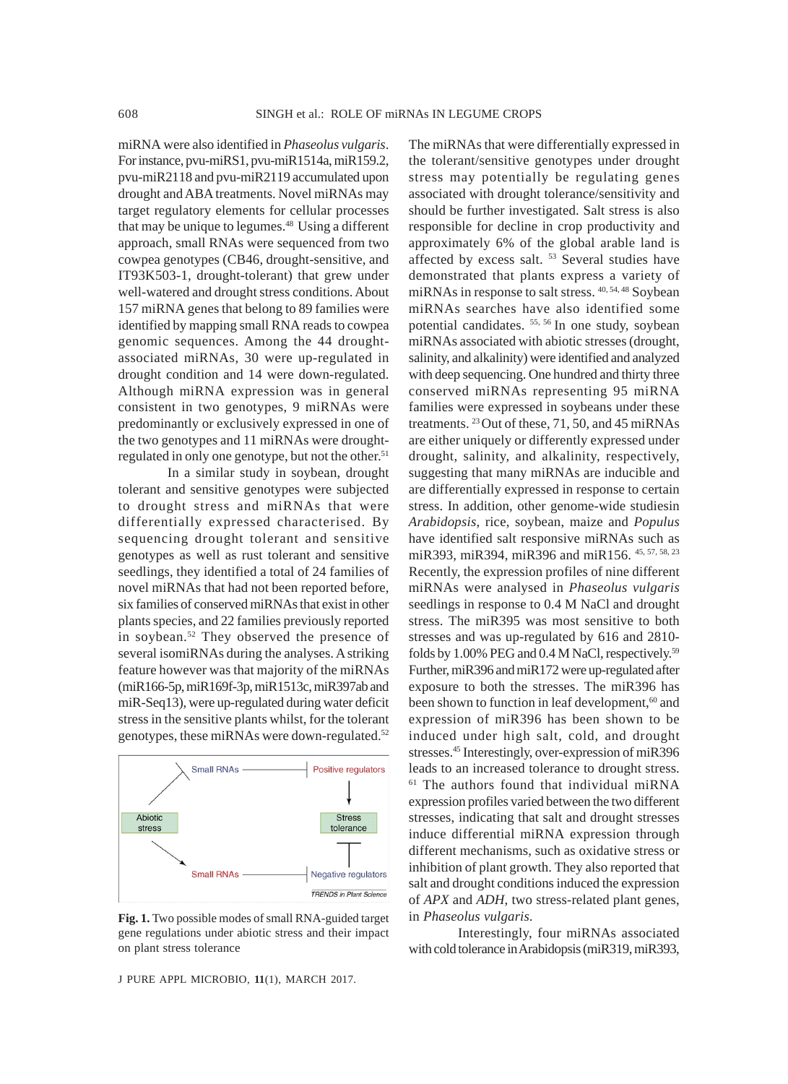miRNA were also identified in *Phaseolus vulgaris*. For instance, pvu-miRS1, pvu-miR1514a, miR159.2, pvu-miR2118 and pvu-miR2119 accumulated upon drought and ABA treatments. Novel miRNAs may target regulatory elements for cellular processes that may be unique to legumes.<sup>48</sup> Using a different approach, small RNAs were sequenced from two cowpea genotypes (CB46, drought-sensitive, and IT93K503-1, drought-tolerant) that grew under well-watered and drought stress conditions. About 157 miRNA genes that belong to 89 families were identified by mapping small RNA reads to cowpea genomic sequences. Among the 44 droughtassociated miRNAs, 30 were up-regulated in drought condition and 14 were down-regulated. Although miRNA expression was in general consistent in two genotypes, 9 miRNAs were predominantly or exclusively expressed in one of the two genotypes and 11 miRNAs were droughtregulated in only one genotype, but not the other.<sup>51</sup>

In a similar study in soybean, drought tolerant and sensitive genotypes were subjected to drought stress and miRNAs that were differentially expressed characterised. By sequencing drought tolerant and sensitive genotypes as well as rust tolerant and sensitive seedlings, they identified a total of 24 families of novel miRNAs that had not been reported before, six families of conserved miRNAs that exist in other plants species, and 22 families previously reported in soybean.<sup>52</sup> They observed the presence of several isomiRNAs during the analyses. A striking feature however was that majority of the miRNAs (miR166-5p, miR169f-3p, miR1513c, miR397ab and miR-Seq13), were up-regulated during water deficit stress in the sensitive plants whilst, for the tolerant genotypes, these miRNAs were down-regulated.52



**Fig. 1.** Two possible modes of small RNA-guided target gene regulations under abiotic stress and their impact on plant stress tolerance

J PURE APPL MICROBIO*,* **11**(1), MARCH 2017.

The miRNAs that were differentially expressed in the tolerant/sensitive genotypes under drought stress may potentially be regulating genes associated with drought tolerance/sensitivity and should be further investigated. Salt stress is also responsible for decline in crop productivity and approximately 6% of the global arable land is affected by excess salt. 53 Several studies have demonstrated that plants express a variety of miRNAs in response to salt stress. 40, 54, 48 Soybean miRNAs searches have also identified some potential candidates. 55, 56 In one study, soybean miRNAs associated with abiotic stresses (drought, salinity, and alkalinity) were identified and analyzed with deep sequencing. One hundred and thirty three conserved miRNAs representing 95 miRNA families were expressed in soybeans under these treatments. 23 Out of these, 71, 50, and 45 miRNAs are either uniquely or differently expressed under drought, salinity, and alkalinity, respectively, suggesting that many miRNAs are inducible and are differentially expressed in response to certain stress. In addition, other genome-wide studiesin *Arabidopsis*, rice, soybean, maize and *Populus* have identified salt responsive miRNAs such as miR393, miR394, miR396 and miR156. 45, 57, 58, 23 Recently, the expression profiles of nine different miRNAs were analysed in *Phaseolus vulgaris* seedlings in response to 0.4 M NaCl and drought stress. The miR395 was most sensitive to both stresses and was up-regulated by 616 and 2810 folds by 1.00% PEG and 0.4 M NaCl, respectively.<sup>59</sup> Further, miR396 and miR172 were up-regulated after exposure to both the stresses. The miR396 has been shown to function in leaf development,<sup>60</sup> and expression of miR396 has been shown to be induced under high salt, cold, and drought stresses.45 Interestingly, over-expression of miR396 leads to an increased tolerance to drought stress. 61 The authors found that individual miRNA expression profiles varied between the two different stresses, indicating that salt and drought stresses induce differential miRNA expression through different mechanisms, such as oxidative stress or inhibition of plant growth. They also reported that salt and drought conditions induced the expression of *APX* and *ADH*, two stress-related plant genes, in *Phaseolus vulgaris*.

Interestingly, four miRNAs associated with cold tolerance in Arabidopsis (miR319, miR393,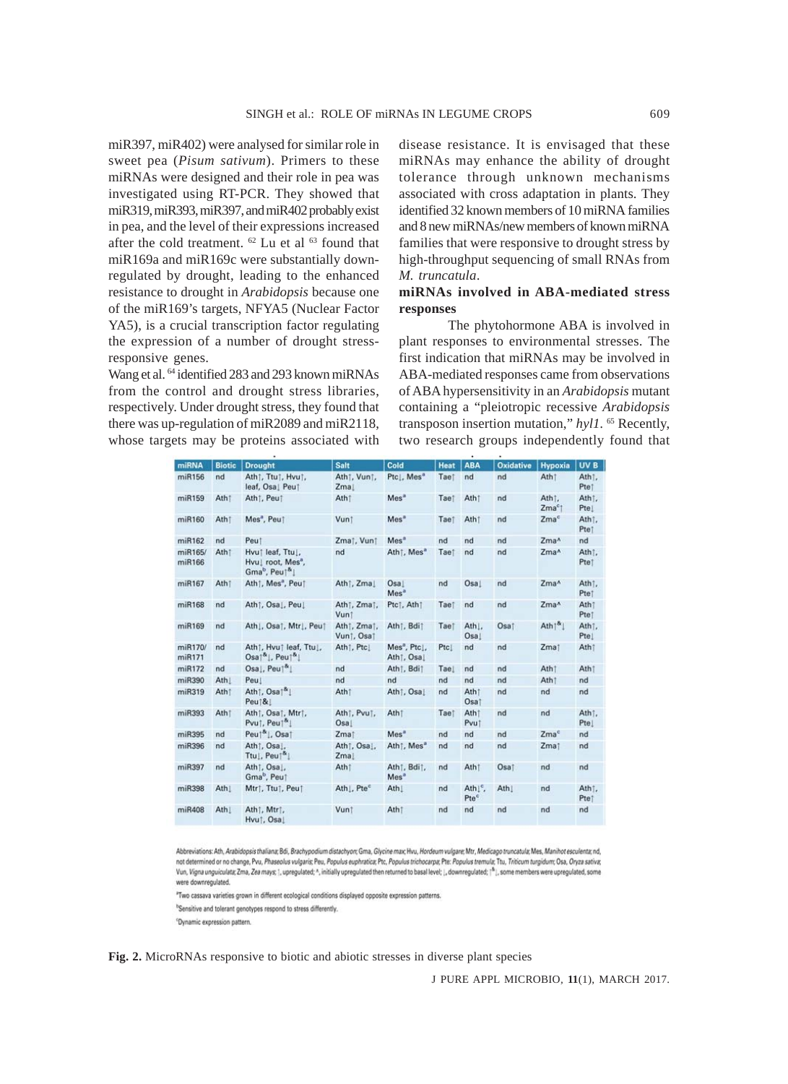miR397, miR402) were analysed for similar role in sweet pea (*Pisum sativum*). Primers to these miRNAs were designed and their role in pea was investigated using RT-PCR. They showed that miR319, miR393, miR397, and miR402 probably exist in pea, and the level of their expressions increased after the cold treatment.  $62$  Lu et al  $63$  found that miR169a and miR169c were substantially downregulated by drought, leading to the enhanced resistance to drought in *Arabidopsis* because one of the miR169's targets, NFYA5 (Nuclear Factor YA5), is a crucial transcription factor regulating the expression of a number of drought stressresponsive genes.

Wang et al. <sup>64</sup> identified 283 and 293 known miRNAs from the control and drought stress libraries, respectively. Under drought stress, they found that there was up-regulation of miR2089 and miR2118, whose targets may be proteins associated with disease resistance. It is envisaged that these miRNAs may enhance the ability of drought tolerance through unknown mechanisms associated with cross adaptation in plants. They identified 32 known members of 10 miRNA families and 8 new miRNAs/new members of known miRNA families that were responsive to drought stress by high-throughput sequencing of small RNAs from *M. truncatula*.

## **miRNAs involved in ABA-mediated stress responses**

The phytohormone ABA is involved in plant responses to environmental stresses. The first indication that miRNAs may be involved in ABA-mediated responses came from observations of ABA hypersensitivity in an *Arabidopsis* mutant containing a "pleiotropic recessive *Arabidopsis* transposon insertion mutation," *hyl1.* 65 Recently, two research groups independently found that

| miRNA             | <b>Biotic</b>    | <b>Drought</b>                                                                                 | <b>Salt</b>                                   | Cold                                                      | <b>Heat</b> | <b>ABA</b>                              | <b>Oxidative</b> | <b>Hypoxia</b>              | UV <sub>B</sub>            |
|-------------------|------------------|------------------------------------------------------------------------------------------------|-----------------------------------------------|-----------------------------------------------------------|-------------|-----------------------------------------|------------------|-----------------------------|----------------------------|
| miR156            | nd               | Ath1, Ttu1, Hvu1,<br>leaf, Osal Peut                                                           | Ath1, Vun1,<br>Zmal                           | Ptcl. Mes <sup>a</sup>                                    | Taet        | nd                                      | nd               | Ath <sup>†</sup>            | Ath1.<br>Ptet              |
| miR159            | Ath <sup>1</sup> | Ath1, Peu1                                                                                     | Ath <sup>t</sup>                              | Mes <sup>a</sup>                                          | Taet        | Ath <sup>1</sup>                        | nd               | Ath1.<br>Zma <sup>c</sup> 1 | Ath <sub>T</sub> .<br>Ptel |
| miR160            | Athi             | Mes", Peu†                                                                                     | Vunt                                          | Mes <sup>a</sup>                                          | Taet        | Ath†                                    | nd               | Zma <sup>c</sup>            | Ath <sub>1</sub> .<br>Ptet |
| miR162            | nd               | Peut                                                                                           | Zma†, Vun†                                    | Mes <sup>a</sup>                                          | nd          | nd                                      | nd               | Zma^                        | nd                         |
| miR165/<br>miR166 | Ath <sup>1</sup> | Hvut leaf, Ttu L.<br>Hvul root, Mes <sup>8</sup> ,<br>Gma <sup>b</sup> , Peul <sup>&amp;</sup> | nd                                            | Ath†, Mes <sup>a</sup>                                    | Taet        | nd                                      | nd               | Zma <sup>^</sup>            | Ath <sup>t</sup> .<br>Ptet |
| miR167            | Ath <sub>1</sub> | Ath1, Mes <sup>a</sup> , Peu1                                                                  | Ath1, Zma                                     | Osa <sub>1</sub><br>Mes <sup>a</sup>                      | nd          | Osa                                     | nd               | Zma <sup>^</sup>            | Ath <sub>1</sub> .<br>Ptet |
| miR168            | nd               | Ath1, Osal, Peul                                                                               | Ath <sub>1</sub> , Zma <sub>1</sub> ,<br>Vunt | Ptc1, Ath1                                                | Taet        | nd                                      | nd               | Zma^                        | Ath <sub>1</sub><br>Ptet   |
| miR169            | nd               | Ath J. Osa1, Mtrl. Peu1                                                                        | Ath1, Zma1,<br>Vun1, Osa1                     | Ath <sub>i</sub> , Bdi <sub>1</sub>                       | Taet        | Ath <sub>1</sub> .<br>Osal              | Osaj             | Ath <sup>8</sup>            | Ath <sub>1</sub> .<br>Ptel |
| miR170/<br>miR171 | nd               | Ath1, Hvu1 leaf, Ttu1,<br>Osal <sup>&amp;</sup>  , Peul <sup>&amp;</sup>                       | Ath1, Ptc1                                    | Mes <sup>8</sup> , Ptc.,<br>Ath1, Osa                     | Ptc         | nd                                      | nd               | Zma1                        | Ath <sub>1</sub>           |
| miR172            | nd               | $Osa$ , Peu $\lceil \frac{a}{2} \rceil$                                                        | nd                                            | Ath†, Bdi†                                                | Tae         | nd                                      | nd               | Ath1                        | Ath <sub>1</sub>           |
| miR390            | Ath!             | Peu                                                                                            | nd                                            | nd                                                        | nd          | nd                                      | nd               | Ath1                        | nd                         |
| miR319            | Athi             | Ath1, Osa1 <sup>&amp;</sup> 1<br>Peu†&                                                         | Ath                                           | Ath1, Osal                                                | nd          | Ath <sub>1</sub><br>Osal                | nd               | nd                          | nd                         |
| miR393            | Ath <sup>1</sup> | Ath1, Osa1, Mtr1,<br>Pvut, Peut <sup>&amp;</sup>                                               | Ath <sub>1</sub> , Pvu <sub>1</sub> ,<br>Osal | Ath <sup>†</sup>                                          | Taet        | Ath <sup>†</sup><br>Pvut                | nd               | nd                          | Ath <sub>1</sub> .<br>Ptel |
| miR395            | nd               | Peuț <sup>&amp;</sup>  , Osaț                                                                  | Zmat                                          | Mes <sup>a</sup>                                          | nd          | nd                                      | nd               | Zma <sup>c</sup>            | nd                         |
| miR396            | nd               | Ath <sup>†</sup> , Osa],<br>Ttul, Peul <sup>&amp;</sup>                                        | Ath <sup>†</sup> , Osa<br>Zma                 | Ath1, Mes <sup>a</sup>                                    | nd          | nd                                      | nd               | Zma1                        | nd                         |
| miR397            | nd               | Ath <sub>1</sub> , Osa<br>Gma <sup>b</sup> , Peu1                                              | Athi                                          | Ath <sub>i</sub> , Bdi <sub>1</sub> ,<br>Mes <sup>a</sup> | nd          | Atht                                    | Osaj             | nd                          | nd                         |
| miR398            | Ath <sub>1</sub> | Mtr1, Ttu1, Peu1                                                                               | Ath , Pte <sup>c</sup>                        | Ath <sub>1</sub>                                          | nd          | Ath <sup>[c</sup> ,<br>Pte <sup>c</sup> | Ath!             | nd                          | Ath <sub>1</sub> .<br>Ptet |
| miR408            | Ath <sub>1</sub> | Athi, Mtri,<br>Hvu†, Osa                                                                       | Vun1                                          | Ath <sub>1</sub>                                          | nd          | nd                                      | nd               | nd                          | nd                         |

Abbreviations: Ath, Arabidopsis thaliana; Bdi, Brachypodium distachyon; Gma, Glycine max; Hvu, Hordeum vulgare; Mtr, Medicago truncatula; Mes, Manihot esculenta; nd, not determined or no change, Pvu, Phaseolus vulgaris; Peu, Populus euphratica; Ptc, Populus trichocarpa; Pte: Populus tremula; Ttu, Triticum turgidum; Osa, Oryza sativa;<br>Vun, Vigna unguiculata; Zma, Zea mays; |, upregulate were downregulated.

"Two cassava varieties grown in different ecological conditions displayed opposite expression patterns

<sup>b</sup>Sensitive and tolerant genotypes respond to stress differently.

<sup>c</sup>Dynamic expression pattern.

**Fig. 2.** MicroRNAs responsive to biotic and abiotic stresses in diverse plant species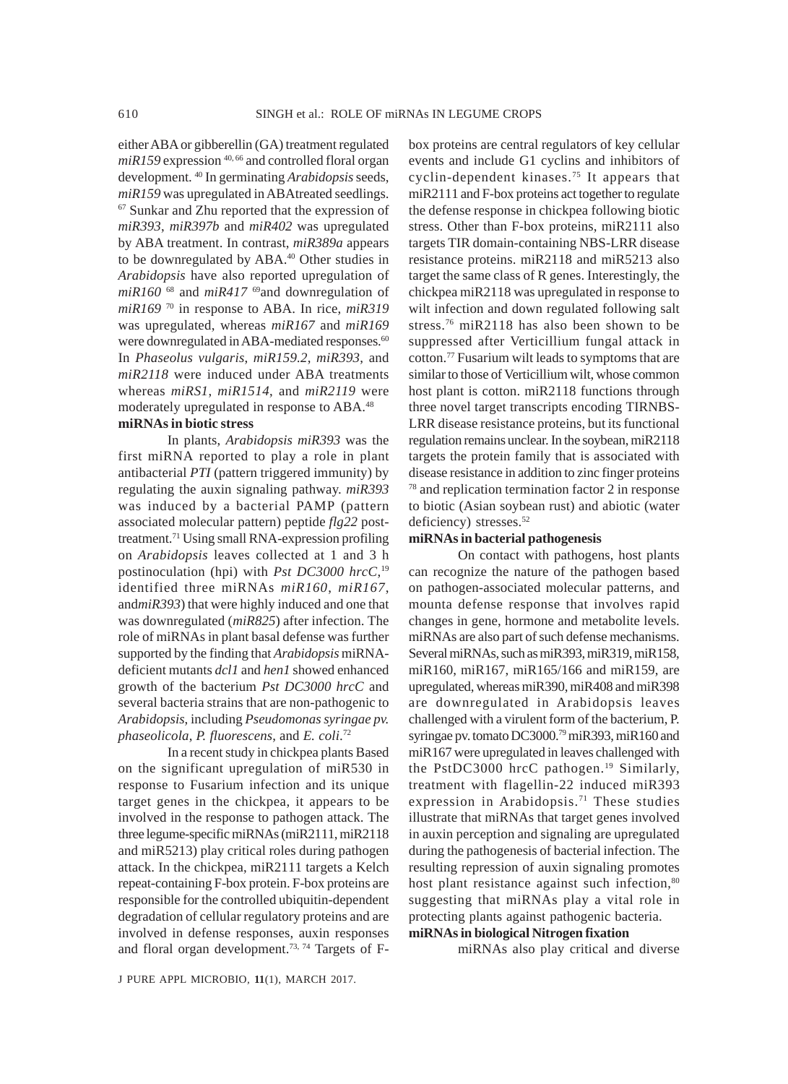either ABA or gibberellin (GA) treatment regulated  $miR159$  expression  $40,66$  and controlled floral organ development. 40 In germinating *Arabidopsis* seeds, *miR159* was upregulated in ABAtreated seedlings. 67 Sunkar and Zhu reported that the expression of *miR393*, *miR397b* and *miR402* was upregulated by ABA treatment. In contrast, *miR389a* appears to be downregulated by ABA.40 Other studies in *Arabidopsis* have also reported upregulation of *miR160* 68 and *miR417* 69and downregulation of *miR169* 70 in response to ABA. In rice, *miR319* was upregulated, whereas *miR167* and *miR169* were downregulated in ABA-mediated responses.<sup>60</sup> In *Phaseolus vulgaris*, *miR159.2*, *miR393*, and *miR2118* were induced under ABA treatments whereas *miRS1*, *miR1514*, and *miR2119* were moderately upregulated in response to ABA.48 **miRNAs in biotic stress**

In plants, *Arabidopsis miR393* was the first miRNA reported to play a role in plant antibacterial *PTI* (pattern triggered immunity) by regulating the auxin signaling pathway. *miR393* was induced by a bacterial PAMP (pattern associated molecular pattern) peptide *flg22* posttreatment.71 Using small RNA-expression profiling on *Arabidopsis* leaves collected at 1 and 3 h postinoculation (hpi) with *Pst DC3000 hrcC*, 19 identified three miRNAs *miR160*, *miR167*, and*miR393*) that were highly induced and one that was downregulated (*miR825*) after infection. The role of miRNAs in plant basal defense was further supported by the finding that *Arabidopsis* miRNAdeficient mutants *dcl1* and *hen1* showed enhanced growth of the bacterium *Pst DC3000 hrcC* and several bacteria strains that are non-pathogenic to *Arabidopsis*, including *Pseudomonas syringae pv. phaseolicola*, *P. fluorescens*, and *E. coli*. 72

In a recent study in chickpea plants Based on the significant upregulation of miR530 in response to Fusarium infection and its unique target genes in the chickpea, it appears to be involved in the response to pathogen attack. The three legume-specific miRNAs (miR2111, miR2118 and miR5213) play critical roles during pathogen attack. In the chickpea, miR2111 targets a Kelch repeat-containing F-box protein. F-box proteins are responsible for the controlled ubiquitin-dependent degradation of cellular regulatory proteins and are involved in defense responses, auxin responses and floral organ development.<sup>73, 74</sup> Targets of F- box proteins are central regulators of key cellular events and include G1 cyclins and inhibitors of cyclin-dependent kinases.75 It appears that miR2111 and F-box proteins act together to regulate the defense response in chickpea following biotic stress. Other than F-box proteins, miR2111 also targets TIR domain-containing NBS-LRR disease resistance proteins. miR2118 and miR5213 also target the same class of R genes. Interestingly, the chickpea miR2118 was upregulated in response to wilt infection and down regulated following salt stress.<sup>76</sup> miR2118 has also been shown to be suppressed after Verticillium fungal attack in cotton.77 Fusarium wilt leads to symptoms that are similar to those of Verticillium wilt, whose common host plant is cotton. miR2118 functions through three novel target transcripts encoding TIRNBS-LRR disease resistance proteins, but its functional regulation remains unclear. In the soybean, miR2118 targets the protein family that is associated with disease resistance in addition to zinc finger proteins 78 and replication termination factor 2 in response to biotic (Asian soybean rust) and abiotic (water deficiency) stresses.<sup>52</sup>

#### **miRNAs in bacterial pathogenesis**

On contact with pathogens, host plants can recognize the nature of the pathogen based on pathogen-associated molecular patterns, and mounta defense response that involves rapid changes in gene, hormone and metabolite levels. miRNAs are also part of such defense mechanisms. Several miRNAs, such as miR393, miR319, miR158, miR160, miR167, miR165/166 and miR159, are upregulated, whereas miR390, miR408 and miR398 are downregulated in Arabidopsis leaves challenged with a virulent form of the bacterium, P. syringae pv. tomato DC3000.<sup>79</sup> miR393, miR160 and miR167 were upregulated in leaves challenged with the PstDC3000 hrcC pathogen.<sup>19</sup> Similarly, treatment with flagellin-22 induced miR393 expression in Arabidopsis.<sup>71</sup> These studies illustrate that miRNAs that target genes involved in auxin perception and signaling are upregulated during the pathogenesis of bacterial infection. The resulting repression of auxin signaling promotes host plant resistance against such infection,<sup>80</sup> suggesting that miRNAs play a vital role in protecting plants against pathogenic bacteria.

## **miRNAs in biological Nitrogen fixation**

miRNAs also play critical and diverse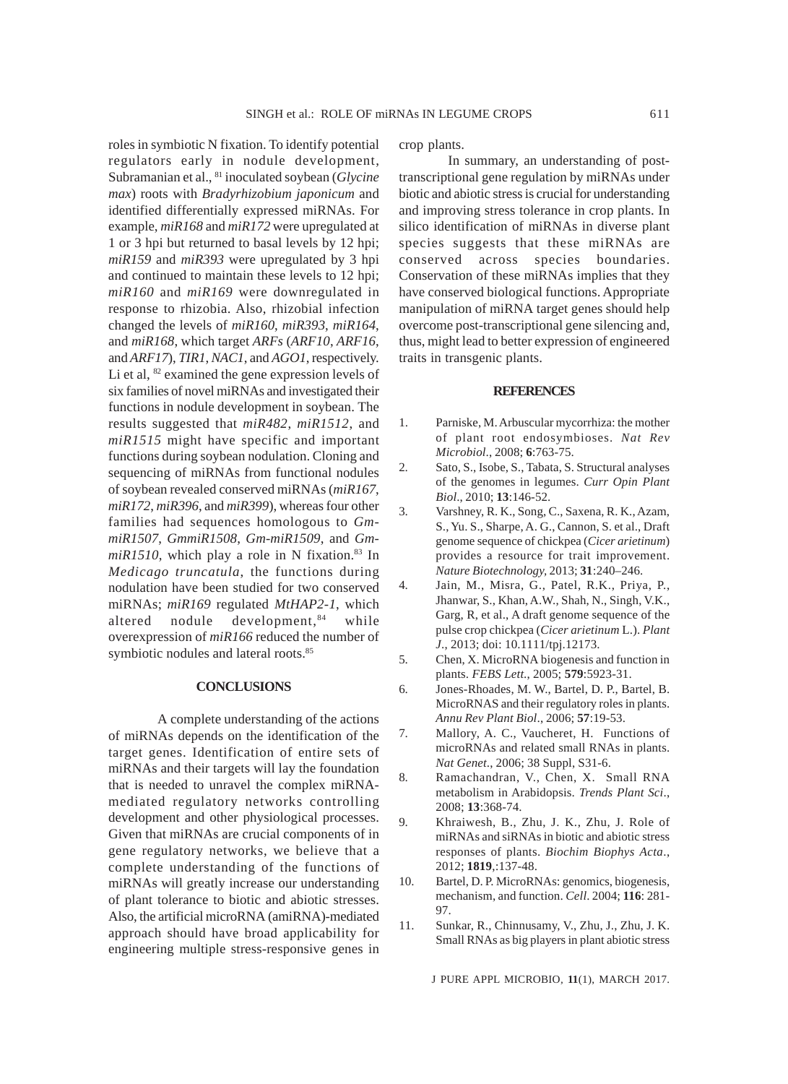roles in symbiotic N fixation. To identify potential regulators early in nodule development, Subramanian et al., 81 inoculated soybean (*Glycine max*) roots with *Bradyrhizobium japonicum* and identified differentially expressed miRNAs. For example, *miR168* and *miR172* were upregulated at 1 or 3 hpi but returned to basal levels by 12 hpi; *miR159* and *miR393* were upregulated by 3 hpi and continued to maintain these levels to 12 hpi; *miR160* and *miR169* were downregulated in response to rhizobia. Also, rhizobial infection changed the levels of *miR160*, *miR393*, *miR164*, and *miR168*, which target *ARFs* (*ARF10*, *ARF16*, and *ARF17*), *TIR1*, *NAC1*, and *AGO1*, respectively. Li et al,  $82$  examined the gene expression levels of six families of novel miRNAs and investigated their functions in nodule development in soybean. The results suggested that *miR482*, *miR1512*, and *miR1515* might have specific and important functions during soybean nodulation. Cloning and sequencing of miRNAs from functional nodules of soybean revealed conserved miRNAs (*miR167*, *miR172*, *miR396*, and *miR399*), whereas four other families had sequences homologous to *GmmiR1507*, *GmmiR1508*, *Gm-miR1509*, and *Gm* $miR1510$ , which play a role in N fixation.<sup>83</sup> In *Medicago truncatula*, the functions during nodulation have been studied for two conserved miRNAs; *miR169* regulated *MtHAP2-1*, which altered nodule development,<sup>84</sup> while overexpression of *miR166* reduced the number of symbiotic nodules and lateral roots.<sup>85</sup>

#### **CONCLUSIONS**

A complete understanding of the actions of miRNAs depends on the identification of the target genes. Identification of entire sets of miRNAs and their targets will lay the foundation that is needed to unravel the complex miRNAmediated regulatory networks controlling development and other physiological processes. Given that miRNAs are crucial components of in gene regulatory networks, we believe that a complete understanding of the functions of miRNAs will greatly increase our understanding of plant tolerance to biotic and abiotic stresses. Also, the artificial microRNA (amiRNA)-mediated approach should have broad applicability for engineering multiple stress-responsive genes in

crop plants.

In summary, an understanding of posttranscriptional gene regulation by miRNAs under biotic and abiotic stress is crucial for understanding and improving stress tolerance in crop plants. In silico identification of miRNAs in diverse plant species suggests that these miRNAs are conserved across species boundaries. Conservation of these miRNAs implies that they have conserved biological functions. Appropriate manipulation of miRNA target genes should help overcome post-transcriptional gene silencing and, thus, might lead to better expression of engineered traits in transgenic plants.

#### **REFERENCES**

- 1. Parniske, M. Arbuscular mycorrhiza: the mother of plant root endosymbioses. *Nat Rev Microbiol*., 2008; **6**:763-75.
- 2. Sato, S., Isobe, S., Tabata, S. Structural analyses of the genomes in legumes. *Curr Opin Plant Biol*., 2010; **13**:146-52.
- 3. Varshney, R. K., Song, C., Saxena, R. K., Azam, S., Yu. S., Sharpe, A. G., Cannon, S. et al., Draft genome sequence of chickpea (*Cicer arietinum*) provides a resource for trait improvement. *Nature Biotechnology,* 2013; **31**:240–246.
- 4. Jain, M., Misra, G., Patel, R.K., Priya, P., Jhanwar, S., Khan, A.W., Shah, N., Singh, V.K., Garg, R, et al., A draft genome sequence of the pulse crop chickpea (*Cicer arietinum* L.). *Plant J*., 2013; doi: 10.1111/tpj.12173.
- 5. Chen, X. MicroRNA biogenesis and function in plants. *FEBS Lett*., 2005; **579**:5923-31.
- 6. Jones-Rhoades, M. W., Bartel, D. P., Bartel, B. MicroRNAS and their regulatory roles in plants. *Annu Rev Plant Biol*., 2006; **57**:19-53.
- 7. Mallory, A. C., Vaucheret, H. Functions of microRNAs and related small RNAs in plants. *Nat Genet*., 2006; 38 Suppl, S31-6.
- 8. Ramachandran, V., Chen, X. Small RNA metabolism in Arabidopsis. *Trends Plant Sci*., 2008; **13**:368-74.
- 9. Khraiwesh, B., Zhu, J. K., Zhu, J. Role of miRNAs and siRNAs in biotic and abiotic stress responses of plants. *Biochim Biophys Acta*., 2012; **1819**,:137-48.
- 10. Bartel, D. P. MicroRNAs: genomics, biogenesis, mechanism, and function. *Cell*. 2004; **116**: 281- 97.
- 11. Sunkar, R., Chinnusamy, V., Zhu, J., Zhu, J. K. Small RNAs as big players in plant abiotic stress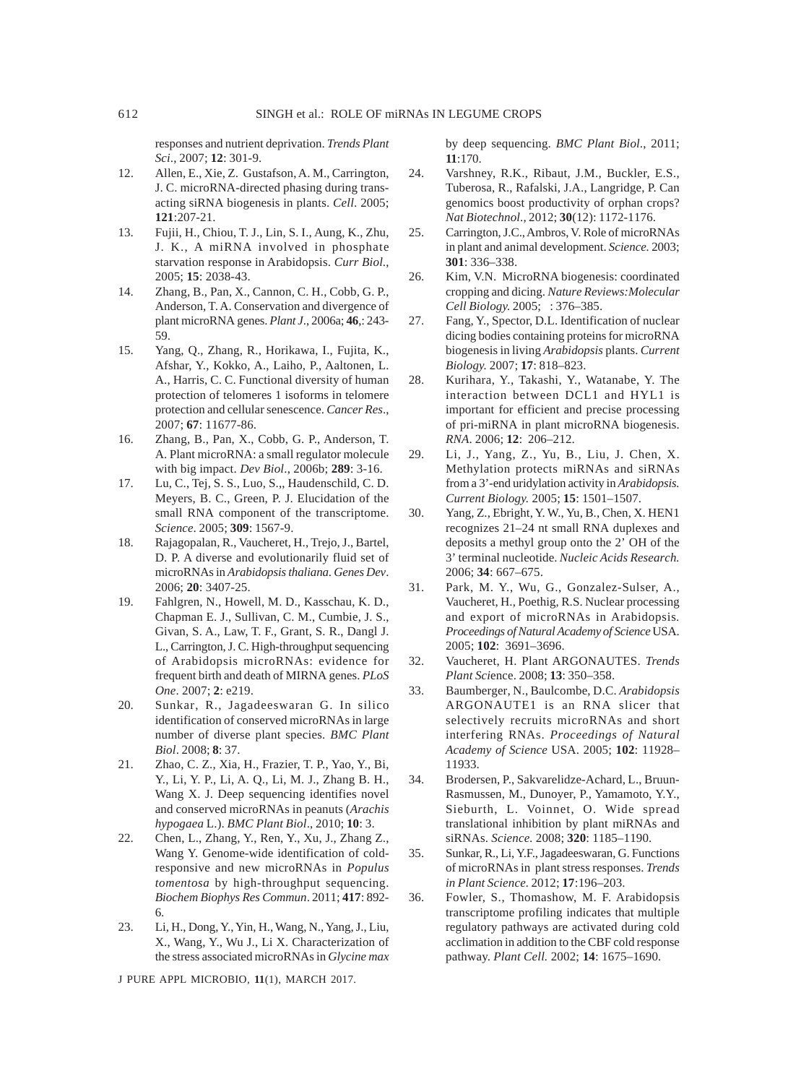responses and nutrient deprivation. *Trends Plant Sci*., 2007; **12**: 301-9.

- 12. Allen, E., Xie, Z. Gustafson, A. M., Carrington, J. C. microRNA-directed phasing during transacting siRNA biogenesis in plants. *Cell*. 2005; **121**:207-21.
- 13. Fujii, H., Chiou, T. J., Lin, S. I., Aung, K., Zhu, J. K., A miRNA involved in phosphate starvation response in Arabidopsis. *Curr Biol*., 2005; **15**: 2038-43.
- 14. Zhang, B., Pan, X., Cannon, C. H., Cobb, G. P., Anderson, T. A. Conservation and divergence of plant microRNA genes. *Plant J*., 2006a; **46**,: 243- 59.
- 15. Yang, Q., Zhang, R., Horikawa, I., Fujita, K., Afshar, Y., Kokko, A., Laiho, P., Aaltonen, L. A., Harris, C. C. Functional diversity of human protection of telomeres 1 isoforms in telomere protection and cellular senescence. *Cancer Res*., 2007; **67**: 11677-86.
- 16. Zhang, B., Pan, X., Cobb, G. P., Anderson, T. A. Plant microRNA: a small regulator molecule with big impact. *Dev Biol*., 2006b; **289**: 3-16.
- 17. Lu, C., Tej, S. S., Luo, S.,, Haudenschild, C. D. Meyers, B. C., Green, P. J. Elucidation of the small RNA component of the transcriptome. *Science*. 2005; **309**: 1567-9.
- 18. Rajagopalan, R., Vaucheret, H., Trejo, J., Bartel, D. P. A diverse and evolutionarily fluid set of microRNAs in *Arabidopsis thaliana*. *Genes Dev*. 2006; **20**: 3407-25.
- 19. Fahlgren, N., Howell, M. D., Kasschau, K. D., Chapman E. J., Sullivan, C. M., Cumbie, J. S., Givan, S. A., Law, T. F., Grant, S. R., Dangl J. L., Carrington, J. C. High-throughput sequencing of Arabidopsis microRNAs: evidence for frequent birth and death of MIRNA genes. *PLoS One*. 2007; **2**: e219.
- 20. Sunkar, R., Jagadeeswaran G. In silico identification of conserved microRNAs in large number of diverse plant species. *BMC Plant Biol*. 2008; **8**: 37.
- 21. Zhao, C. Z., Xia, H., Frazier, T. P., Yao, Y., Bi, Y., Li, Y. P., Li, A. Q., Li, M. J., Zhang B. H., Wang X. J. Deep sequencing identifies novel and conserved microRNAs in peanuts (*Arachis hypogaea* L.). *BMC Plant Biol*., 2010; **10**: 3.
- 22. Chen, L., Zhang, Y., Ren, Y., Xu, J., Zhang Z., Wang Y. Genome-wide identification of coldresponsive and new microRNAs in *Populus tomentosa* by high-throughput sequencing. *Biochem Biophys Res Commun*. 2011; **417**: 892- 6.
- 23. Li, H., Dong, Y., Yin, H., Wang, N., Yang, J., Liu, X., Wang, Y., Wu J., Li X. Characterization of the stress associated microRNAs in *Glycine max*

J PURE APPL MICROBIO*,* **11**(1), MARCH 2017.

by deep sequencing. *BMC Plant Biol*., 2011; **11**:170.

- 24. Varshney, R.K., Ribaut, J.M., Buckler, E.S., Tuberosa, R., Rafalski, J.A., Langridge, P. Can genomics boost productivity of orphan crops? *Nat Biotechnol*., 2012; **30**(12): 1172-1176.
- 25. Carrington, J.C., Ambros, V. Role of microRNAs in plant and animal development. *Science.* 2003; **301**: 336–338.
- 26. Kim, V.N. MicroRNA biogenesis: coordinated cropping and dicing. *Nature Reviews:Molecular Cell Biology.* 2005; **6**: 376–385.
- 27. Fang, Y., Spector, D.L. Identification of nuclear dicing bodies containing proteins for microRNA biogenesis in living *Arabidopsis* plants. *Current Biology.* 2007; **17**: 818–823.
- 28. Kurihara, Y., Takashi, Y., Watanabe, Y. The interaction between DCL1 and HYL1 is important for efficient and precise processing of pri-miRNA in plant microRNA biogenesis. *RNA*. 2006; **12**: 206–212.
- 29. Li, J., Yang, Z., Yu, B., Liu, J. Chen, X. Methylation protects miRNAs and siRNAs from a 3'-end uridylation activity in *Arabidopsis. Current Biology.* 2005; **15**: 1501–1507.
- 30. Yang, Z., Ebright, Y. W., Yu, B., Chen, X. HEN1 recognizes 21–24 nt small RNA duplexes and deposits a methyl group onto the 2' OH of the 3' terminal nucleotide. *Nucleic Acids Research.* 2006; **34**: 667–675.
- 31. Park, M. Y., Wu, G., Gonzalez-Sulser, A., Vaucheret, H., Poethig, R.S. Nuclear processing and export of microRNAs in Arabidopsis*. Proceedings of Natural Academy of Science* USA. 2005; **102**: 3691–3696.
- 32. Vaucheret, H. Plant ARGONAUTES. *Trends Plant Sci*ence. 2008; **13**: 350–358.
- 33. Baumberger, N., Baulcombe, D.C. *Arabidopsis* ARGONAUTE1 is an RNA slicer that selectively recruits microRNAs and short interfering RNAs. *Proceedings of Natural Academy of Science* USA. 2005; **102**: 11928– 11933.
- 34. Brodersen, P., Sakvarelidze-Achard, L., Bruun-Rasmussen, M., Dunoyer, P., Yamamoto, Y.Y., Sieburth, L. Voinnet, O. Wide spread translational inhibition by plant miRNAs and siRNAs. *Science.* 2008; **320**: 1185–1190.
- 35. Sunkar, R., Li, Y.F., Jagadeeswaran, G. Functions of microRNAs in plant stress responses. *Trends in Plant Science.* 2012; **17**:196–203.
- 36. Fowler, S., Thomashow, M. F. Arabidopsis transcriptome profiling indicates that multiple regulatory pathways are activated during cold acclimation in addition to the CBF cold response pathway. *Plant Cell.* 2002; **14**: 1675–1690.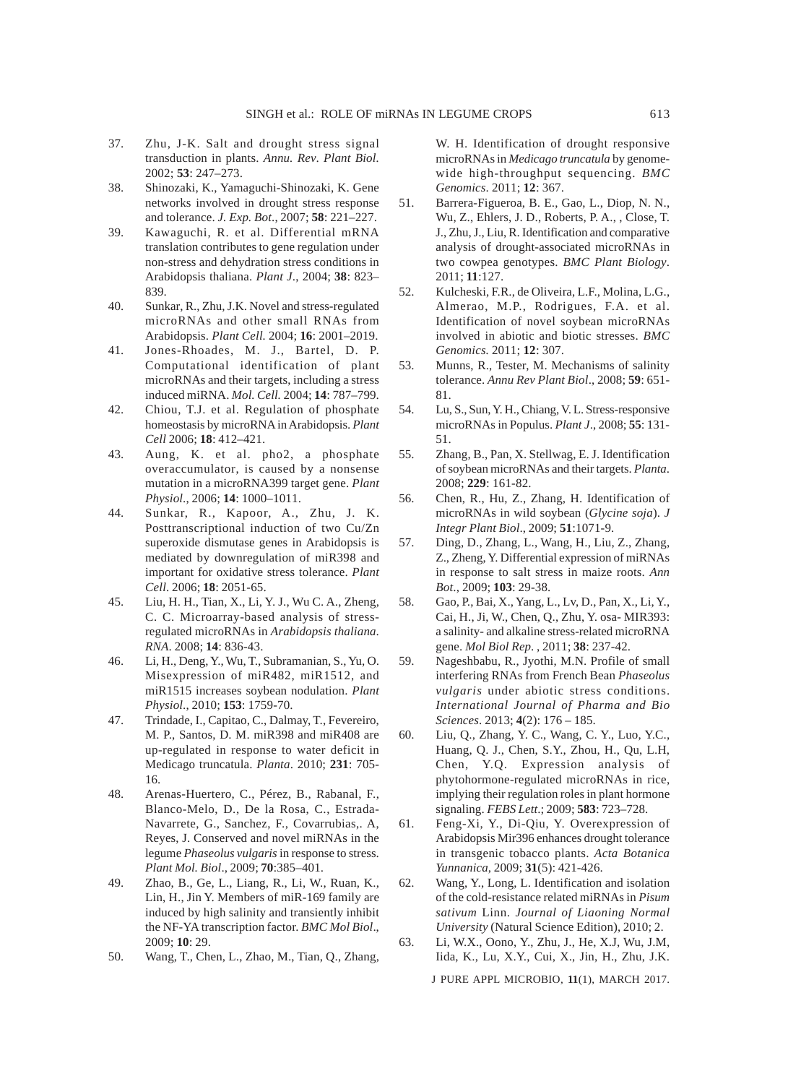- 37. Zhu, J-K. Salt and drought stress signal transduction in plants. *Annu. Rev*. *Plant Biol.* 2002; **53**: 247–273.
- 38. Shinozaki, K., Yamaguchi-Shinozaki, K. Gene networks involved in drought stress response and tolerance. *J. Exp. Bot*., 2007; **58**: 221–227.
- 39. Kawaguchi, R. et al. Differential mRNA translation contributes to gene regulation under non-stress and dehydration stress conditions in Arabidopsis thaliana. *Plant J*., 2004; **38**: 823– 839.
- 40. Sunkar, R., Zhu, J.K. Novel and stress-regulated microRNAs and other small RNAs from Arabidopsis. *Plant Cell.* 2004; **16**: 2001–2019.
- 41. Jones-Rhoades, M. J., Bartel, D. P. Computational identification of plant microRNAs and their targets, including a stress induced miRNA. *Mol. Cell.* 2004; **14**: 787–799.
- 42. Chiou, T.J. et al. Regulation of phosphate homeostasis by microRNA in Arabidopsis. *Plant Cell* 2006; **18**: 412–421.
- 43. Aung, K. et al. pho2, a phosphate overaccumulator, is caused by a nonsense mutation in a microRNA399 target gene. *Plant Physiol*., 2006; **14**: 1000–1011.
- 44. Sunkar, R., Kapoor, A., Zhu, J. K. Posttranscriptional induction of two Cu/Zn superoxide dismutase genes in Arabidopsis is mediated by downregulation of miR398 and important for oxidative stress tolerance. *Plant Cell*. 2006; **18**: 2051-65.
- 45. Liu, H. H., Tian, X., Li, Y. J., Wu C. A., Zheng, C. C. Microarray-based analysis of stressregulated microRNAs in *Arabidopsis thaliana*. *RNA*. 2008; **14**: 836-43.
- 46. Li, H., Deng, Y., Wu, T., Subramanian, S., Yu, O. Misexpression of miR482, miR1512, and miR1515 increases soybean nodulation. *Plant Physiol*., 2010; **153**: 1759-70.
- 47. Trindade, I., Capitao, C., Dalmay, T., Fevereiro, M. P., Santos, D. M. miR398 and miR408 are up-regulated in response to water deficit in Medicago truncatula. *Planta*. 2010; **231**: 705- 16.
- 48. Arenas-Huertero, C., Pérez, B., Rabanal, F., Blanco-Melo, D., De la Rosa, C., Estrada-Navarrete, G., Sanchez, F., Covarrubias,. A, Reyes, J. Conserved and novel miRNAs in the legume *Phaseolus vulgaris* in response to stress. *Plant Mol. Biol*., 2009; **70**:385–401.
- 49. Zhao, B., Ge, L., Liang, R., Li, W., Ruan, K., Lin, H., Jin Y. Members of miR-169 family are induced by high salinity and transiently inhibit the NF-YA transcription factor. *BMC Mol Biol*., 2009; **10**: 29.
- 50. Wang, T., Chen, L., Zhao, M., Tian, Q., Zhang,

W. H. Identification of drought responsive microRNAs in *Medicago truncatula* by genomewide high-throughput sequencing. *BMC Genomics*. 2011; **12**: 367.

- 51. Barrera-Figueroa, B. E., Gao, L., Diop, N. N., Wu, Z., Ehlers, J. D., Roberts, P. A., , Close, T. J., Zhu, J., Liu, R. Identification and comparative analysis of drought-associated microRNAs in two cowpea genotypes. *BMC Plant Biology*. 2011; **11**:127.
- 52. Kulcheski, F.R., de Oliveira, L.F., Molina, L.G., Almerao, M.P., Rodrigues, F.A. et al. Identification of novel soybean microRNAs involved in abiotic and biotic stresses. *BMC Genomics.* 2011; **12**: 307.
- 53. Munns, R., Tester, M. Mechanisms of salinity tolerance. *Annu Rev Plant Biol*., 2008; **59**: 651- 81.
- 54. Lu, S., Sun, Y. H., Chiang, V. L. Stress-responsive microRNAs in Populus. *Plant J*., 2008; **55**: 131- 51.
- 55. Zhang, B., Pan, X. Stellwag, E. J. Identification of soybean microRNAs and their targets. *Planta*. 2008; **229**: 161-82.
- 56. Chen, R., Hu, Z., Zhang, H. Identification of microRNAs in wild soybean (*Glycine soja*). *J Integr Plant Biol*., 2009; **51**:1071-9.
- 57. Ding, D., Zhang, L., Wang, H., Liu, Z., Zhang, Z., Zheng, Y. Differential expression of miRNAs in response to salt stress in maize roots. *Ann Bot*., 2009; **103**: 29-38.
- 58. Gao, P., Bai, X., Yang, L., Lv, D., Pan, X., Li, Y., Cai, H., Ji, W., Chen, Q., Zhu, Y. osa- MIR393: a salinity- and alkaline stress-related microRNA gene. *Mol Biol Rep*. , 2011; **38**: 237-42.
- 59. Nageshbabu, R., Jyothi, M.N. Profile of small interfering RNAs from French Bean *Phaseolus vulgaris* under abiotic stress conditions. *International Journal of Pharma and Bio Sciences*. 2013; **4**(2): 176 – 185.
- 60. Liu, Q., Zhang, Y. C., Wang, C. Y., Luo, Y.C., Huang, Q. J., Chen, S.Y., Zhou, H., Qu, L.H, Chen, Y.Q. Expression analysis of phytohormone-regulated microRNAs in rice, implying their regulation roles in plant hormone signaling. *FEBS Lett*.; 2009; **583**: 723–728.
- 61. Feng-Xi, Y., Di-Qiu, Y. Overexpression of Arabidopsis Mir396 enhances drought tolerance in transgenic tobacco plants. *Acta Botanica Yunnanica*, 2009; **31**(5): 421-426.
- 62. Wang, Y., Long, L. Identification and isolation of the cold-resistance related miRNAs in *Pisum sativum* Linn. *Journal of Liaoning Normal University* (Natural Science Edition), 2010; 2.
- 63. Li, W.X., Oono, Y., Zhu, J., He, X.J, Wu, J.M, Iida, K., Lu, X.Y., Cui, X., Jin, H., Zhu, J.K.